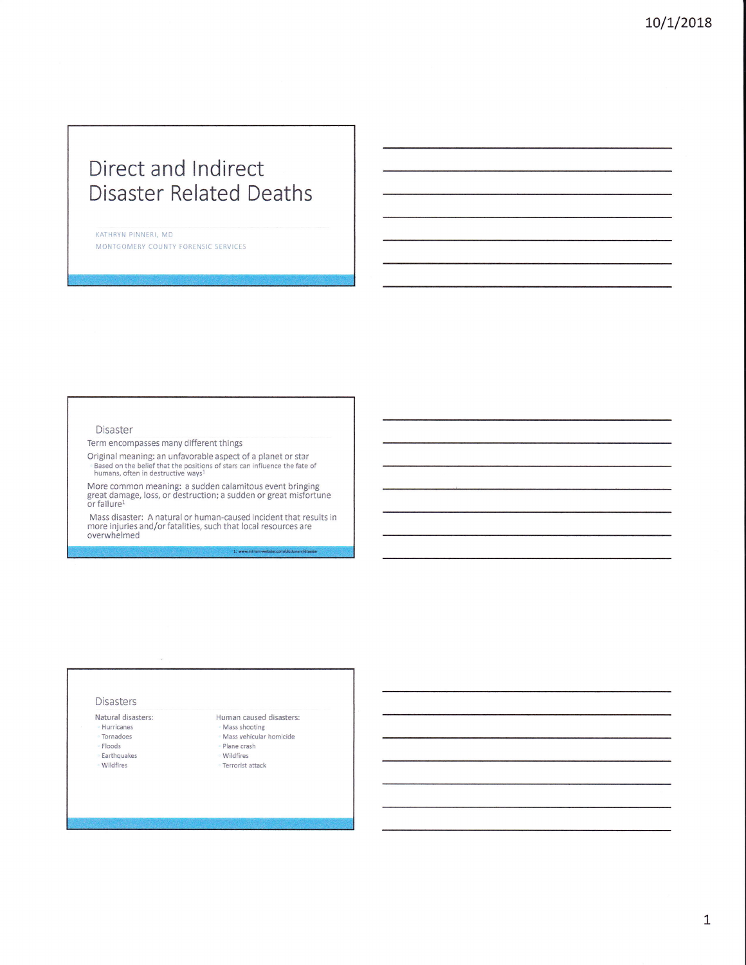# Direct and lndirect Disaster Related Deaths

KATHRYN PINNERI, MD MONTGOMERY COUNTY FORENSIC SERVICES

#### Disaster

Term encompasses many different things

Original meaning: an unfavorable aspect of a planet or star Based on the belief that the positions of stars can influence the fate of<br>humans, often in destructive ways<sup>1</sup>

More common meaning: a sudden calamitous event bringing<br>great damage, loss, or destruction; a sudden or great misfortune<br>or failure<sup>1</sup>

Mass disaster: A natural or human-caused incident that results in more injuries and/or fatalities, such that local resources are overwhelmed

#### Disasters

Natural disasters:

- Hurricanes
- Tornadoes Floods
- Earthquakes
- wildfires

Mass shooting Mass vehicular homicide

Human caused disasters:

L: www.mirlam-webster.com/dictionary/c

Plane crash

wildfires

Terrorist attack

L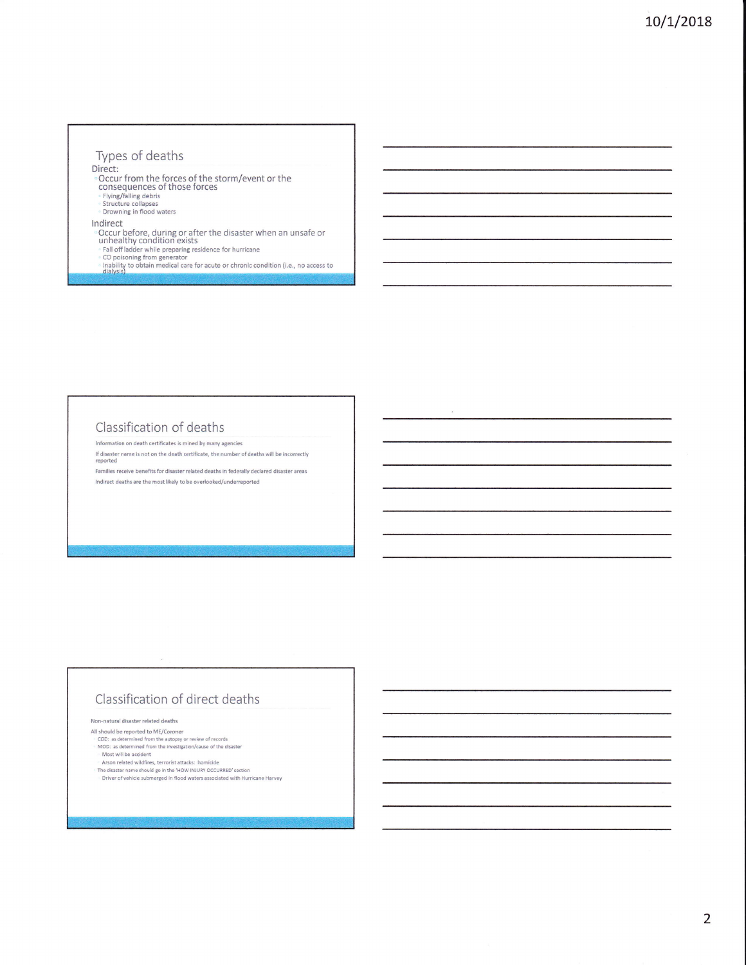# Types of deaths

- Direct:<br>
© Occur from the forces of the storm/event or the<br>
consequences of those forces
	-
	- Flying/falling debris<br>Structure collapses
	- Drowning in flood waters

#### Indirect

- married<br>
Cocur before, during or after the disaster when an unsafe or<br>
unhealthy condition exists<br>
Fall off ladder while preparing residence for hurricane<br>
Co poisoing from generator<br>
(a) coloring from generator<br>
dialysis)
- 
- 
- 

### Classification of deaths

Information on death certificates is mined by many agencies

If disaster name is not on the death certificate, the number of deaths will be incorrectly reported

Families receive benefits for disaster related deaths in federally declared disaster areas Indirect deaths are the most likely to be overlooked/underreported

# Classification of direct deaths

Non-natural disaster related deaths

All should be reported to ME/Coroner

- expose the reporter of method from the autopsy or review of records<br>MOD: as determined from the investigation/cause of the disaster<br>Most will be accident
- 
- Arson related wildfires, terrorist attacks: homicide<br>The disaster name should go in the 'HOW INJURY OCCURRED' section
- Driver of vehicle submerged in flood waters associated with Hurricane Harvey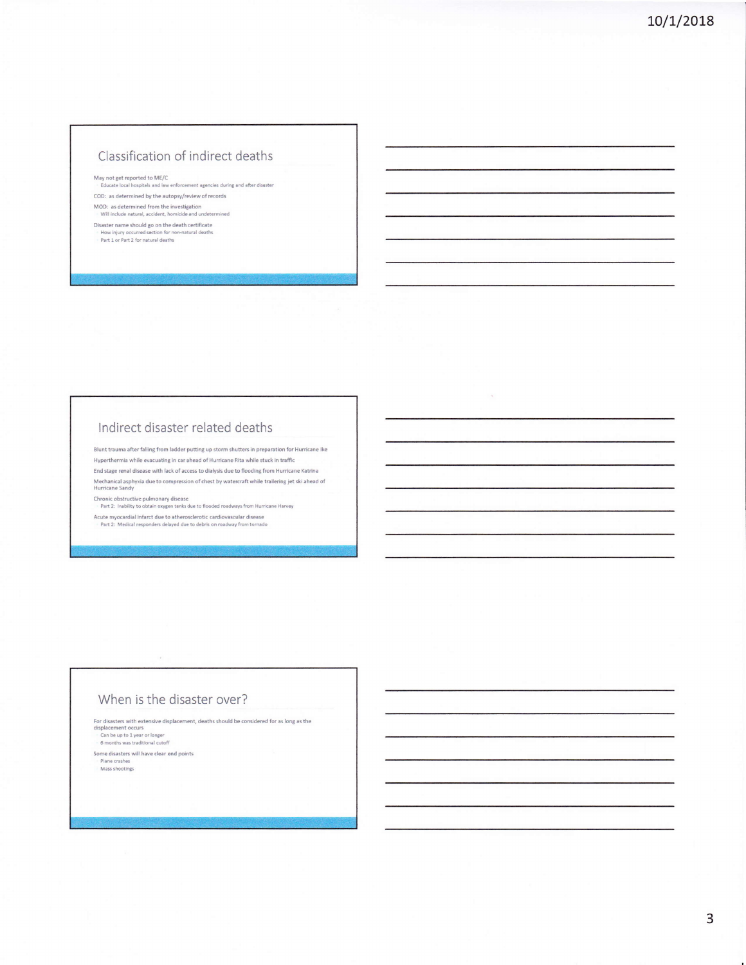# Classification of indirect deaths

May not get reported to ME/C

Educate local hospitals and law enforcement agencies during and after disaster COD: as determined by the autopsy/review of records

MOD: as determined from the investigation<br>Will include natural, accident, homicide and undetermined

Disaster name should go on the death certificate How injury occurred section for non-natural deaths<br>Part 1 or Part 2 for natural deaths

## Indirect disaster related deaths

Blunt trauma after falling from ladder putting up storm shutters in preparation for Hurricane Ike Hyperthermia while evacuating in car ahead of Hurricane Rita while stuck in traffic End stage renal disease with lack of access to dialysis due to flooding from Hurricane Katrina Mechanical asphyxia due to compression of chest by watercraft while trailering jet ski ahead of<br>Hurricane Sandy

Chronic obstructive pulmonary disease<br>Part 2: Inability to obtain oxygen tanks due to flooded roadways from Hurricane Harvey

Acute myocardial infarct due to atherosclerotic cardiovascular disease<br>- Part 2: Medical responders delayed due to debris on roadway from tornado

#### When is the disaster over?

For disasters with extensive displacement, deaths should be considered for as long as the "Can be up to 1 year or longer"<br>"Can be up to 1 year or longer<br>"6 months was traditional cutoff

Some disasters will have clear end points Plane crashes<br>Mass shootings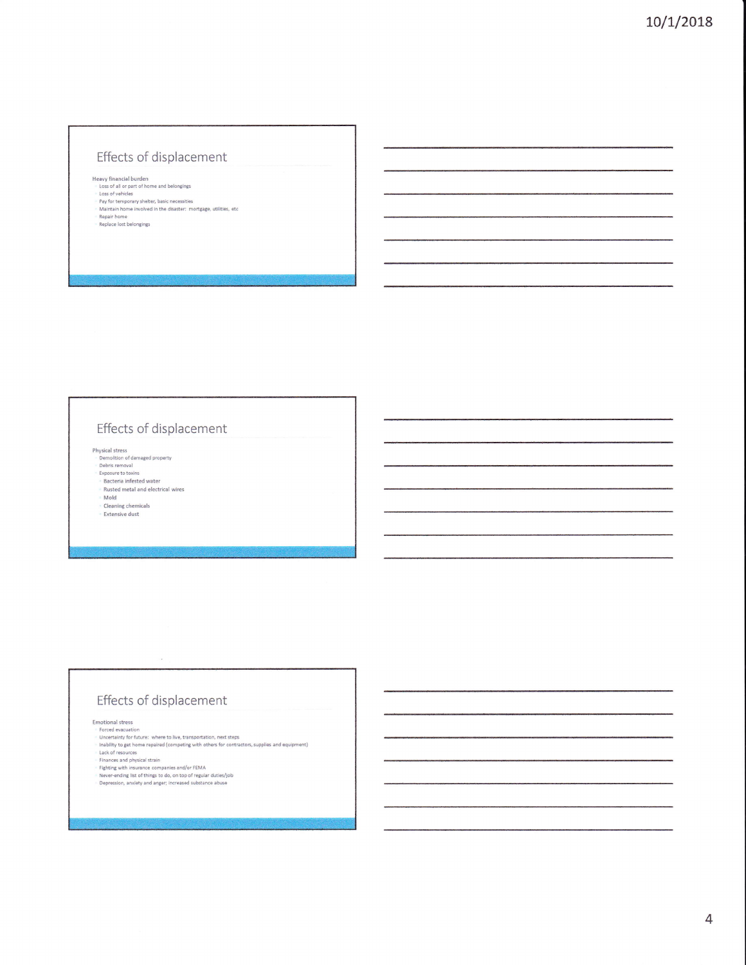# Effects of displacement

- Heavy financial burden<br>Loss of all or part of home and belongings<br>Loss of vehicles
- Lass or vennes<br>Fay for temporary shelter, basic necessities<br>- Maintain home involved in the disaster: mortgage, utilities, etc<br>- Repaice lost belongings<br>- Replace lost belongings
- 

# Effects of displacement

Physical stress<br>
©emolition of damaged property<br>
©ebris removal<br>
Exposure to toxins<br>
®Bacteria infested water

Rusted metal and electrical wires

Mold

Cleaning chemicals

Extensive dust

# Effects of displacement

Emotional stress

Emotional stress<br>
Forced exacustion<br>
• Forced exacustion<br>
• Uncertainty for future: where to live, transportation, next steps<br>
• Inability to get home repaired (competing with others for contractors, supplies and equipment

- 
-